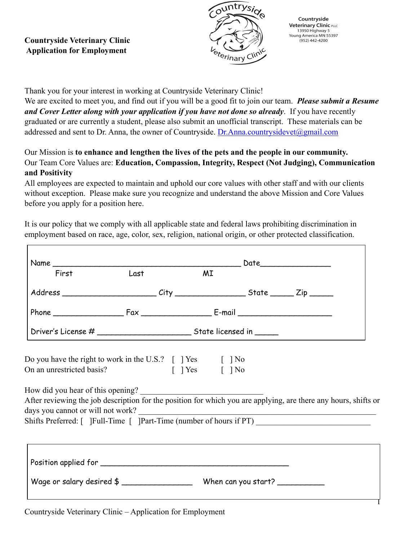

Countryside Veterinary Clinic PLLC 13950 Highway 5 Young America MN 55397<br>(952) 442-4200

Thank you for your interest in working at Countryside Veterinary Clinic!

We are excited to meet you, and find out if you will be a good fit to join our team. *Please submit a Resume and Cover Letter along with your application if you have not done so already*. If you have recently graduated or are currently a student, please also submit an unofficial transcript. These materials can be addressed and sent to Dr. Anna, the owner of Countryside. Dr. Anna.countrysidevet@gmail.com

Our Mission is **to enhance and lengthen the lives of the pets and the people in our community.**  Our Team Core Values are: **Education, Compassion, Integrity, Respect (Not Judging), Communication and Positivity**

All employees are expected to maintain and uphold our core values with other staff and with our clients without exception. Please make sure you recognize and understand the above Mission and Core Values before you apply for a position here.

It is our policy that we comply with all applicable state and federal laws prohibiting discrimination in employment based on race, age, color, sex, religion, national origin, or other protected classification.

| How did you hear of this opening?<br>After reviewing the job description for the position for which you are applying, are there any hours, shifts or<br>days you cannot or will not work?<br>Shifts Preferred: [ ]Full-Time [ ]Part-Time (number of hours if PT) |  |  |  |
|------------------------------------------------------------------------------------------------------------------------------------------------------------------------------------------------------------------------------------------------------------------|--|--|--|
|                                                                                                                                                                                                                                                                  |  |  |  |
|                                                                                                                                                                                                                                                                  |  |  |  |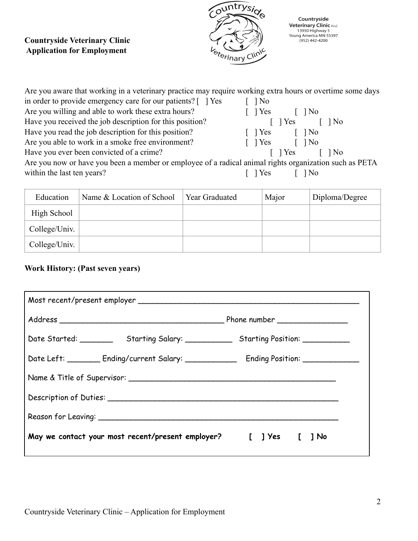

| Are you aware that working in a veterinary practice may require working extra hours or overtime some days |       |       |                             |                           |  |
|-----------------------------------------------------------------------------------------------------------|-------|-------|-----------------------------|---------------------------|--|
| in order to provide emergency care for our patients? [ ] Yes                                              | ] No  |       |                             |                           |  |
| Are you willing and able to work these extra hours?                                                       | Tes   |       | $\log$                      |                           |  |
| Have you received the job description for this position?                                                  |       | Yes   |                             | l No                      |  |
| Have you read the job description for this position?                                                      | Yes   |       | $\log$                      |                           |  |
| Are you able to work in a smoke free environment?                                                         | 1 Yes |       | $\log$                      |                           |  |
| Have you ever been convicted of a crime?                                                                  |       | l Yes |                             | $\mathsf{L}$ $\mathsf{N}$ |  |
| Are you now or have you been a member or employee of a radical animal rights organization such as PETA    |       |       |                             |                           |  |
| within the last ten years?                                                                                | l Yes |       | $\overline{\phantom{0}}$ No |                           |  |
|                                                                                                           |       |       |                             |                           |  |

| Education     | Name & Location of School | Year Graduated | Major | Diploma/Degree |
|---------------|---------------------------|----------------|-------|----------------|
| High School   |                           |                |       |                |
| College/Univ. |                           |                |       |                |
| College/Univ. |                           |                |       |                |

## **Work History: (Past seven years)**

|                                                                                             | Date Started: ________________Starting Salary: ________________Starting Position: _________________ |                    |  |  |
|---------------------------------------------------------------------------------------------|-----------------------------------------------------------------------------------------------------|--------------------|--|--|
| Date Left: _________ Ending/current Salary: _______________ Ending Position: ______________ |                                                                                                     |                    |  |  |
|                                                                                             |                                                                                                     |                    |  |  |
|                                                                                             |                                                                                                     |                    |  |  |
|                                                                                             |                                                                                                     |                    |  |  |
|                                                                                             | May we contact your most recent/present employer?                                                   | $[$ ] Yes $[$ ] No |  |  |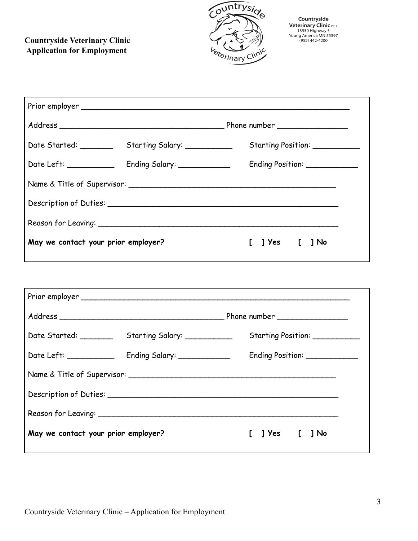

**Countryside<br>Veterinary Clinic PLLC<br>13950 Highway 5<br>Young America MN 55397<br>(952) 442-4200** 

| Starting Position: ___________ |  |  |  |  |
|--------------------------------|--|--|--|--|
| Ending Position: _____________ |  |  |  |  |
|                                |  |  |  |  |
|                                |  |  |  |  |
|                                |  |  |  |  |
|                                |  |  |  |  |
|                                |  |  |  |  |

|                                     |  | Starting Position: ___________ |  |  |
|-------------------------------------|--|--------------------------------|--|--|
|                                     |  | Ending Position: ____________  |  |  |
|                                     |  |                                |  |  |
|                                     |  |                                |  |  |
|                                     |  |                                |  |  |
| May we contact your prior employer? |  | $[$ ] Yes $[$ ] No             |  |  |
|                                     |  |                                |  |  |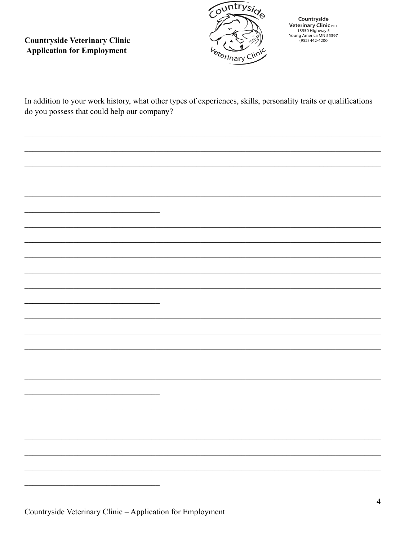

**Countryside<br>Veterinary Clinic PLLC**<br>13950 Highway 5<br>Young America MN 55397<br>(952) 442-4200

In addition to your work history, what other types of experiences, skills, personality traits or qualifications do you possess that could help our company?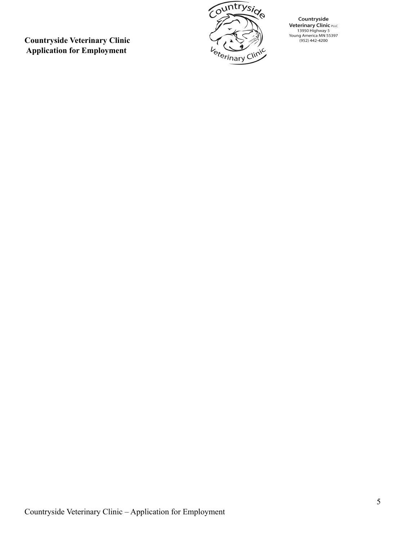

**Countryside<br>Veterinary Clinic PLLC<br>13950 Highway 5<br>Young America MN 55397<br>(952) 442-4200**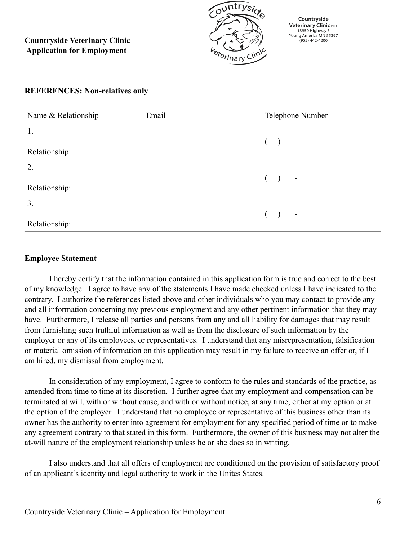

Countryside Veterinary Clinic PLLC 13950 Highway 5 Young America MN 55397 (952) 442-4200

#### **REFERENCES: Non-relatives only**

| Name & Relationship | Email | Telephone Number         |
|---------------------|-------|--------------------------|
| 1.                  |       |                          |
| Relationship:       |       | $\overline{\phantom{a}}$ |
| 2.                  |       |                          |
| Relationship:       |       | $\overline{\phantom{a}}$ |
| 3.                  |       |                          |
| Relationship:       |       | $\blacksquare$           |

#### **Employee Statement**

 I hereby certify that the information contained in this application form is true and correct to the best of my knowledge. I agree to have any of the statements I have made checked unless I have indicated to the contrary. I authorize the references listed above and other individuals who you may contact to provide any and all information concerning my previous employment and any other pertinent information that they may have. Furthermore, I release all parties and persons from any and all liability for damages that may result from furnishing such truthful information as well as from the disclosure of such information by the employer or any of its employees, or representatives. I understand that any misrepresentation, falsification or material omission of information on this application may result in my failure to receive an offer or, if I am hired, my dismissal from employment.

 In consideration of my employment, I agree to conform to the rules and standards of the practice, as amended from time to time at its discretion. I further agree that my employment and compensation can be terminated at will, with or without cause, and with or without notice, at any time, either at my option or at the option of the employer. I understand that no employee or representative of this business other than its owner has the authority to enter into agreement for employment for any specified period of time or to make any agreement contrary to that stated in this form. Furthermore, the owner of this business may not alter the at-will nature of the employment relationship unless he or she does so in writing.

 I also understand that all offers of employment are conditioned on the provision of satisfactory proof of an applicant's identity and legal authority to work in the Unites States.